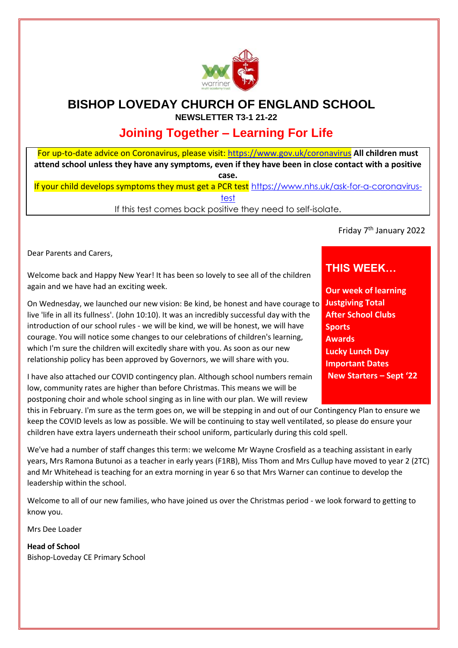

## **BISHOP LOVEDAY CHURCH OF ENGLAND SCHOOL NEWSLETTER T3-1 21-22**

# **Joining Together – Learning For Life**

For up-to-date advice on Coronavirus, please visit:<https://www.gov.uk/coronavirus> **[A](https://www.gov.uk/coronavirus)ll children must attend school unless they have any symptoms, even if they have been in close contact with a positive case.**

If your child develops symptoms they must get a PCR test [https://www.nhs.uk/ask-for-a-coronavirus](https://www.nhs.uk/ask-for-a-coronavirus-test)[test](https://www.nhs.uk/ask-for-a-coronavirus-test)

If this test comes back positive they need to self-isolate.

Friday 7<sup>th</sup> January 2022

Dear Parents and Carers,

Welcome back and Happy New Year! It has been so lovely to see all of the children again and we have had an exciting week.

On Wednesday, we launched our new vision: Be kind, be honest and have courage to **Justgiving Total**  live 'life in all its fullness'. (John 10:10). It was an incredibly successful day with the introduction of our school rules - we will be kind, we will be honest, we will have courage. You will notice some changes to our celebrations of children's learning, which I'm sure the children will excitedly share with you. As soon as our new relationship policy has been approved by Governors, we will share with you.

I have also attached our COVID contingency plan. Although school numbers remain low, community rates are higher than before Christmas. This means we will be postponing choir and whole school singing as in line with our plan. We will review

this in February. I'm sure as the term goes on, we will be stepping in and out of our Contingency Plan to ensure we keep the COVID levels as low as possible. We will be continuing to stay well ventilated, so please do ensure your children have extra layers underneath their school uniform, particularly during this cold spell.

We've had a number of staff changes this term: we welcome Mr Wayne Crosfield as a teaching assistant in early years, Mrs Ramona Butunoi as a teacher in early years (F1RB), Miss Thom and Mrs Cullup have moved to year 2 (2TC) and Mr Whitehead is teaching for an extra morning in year 6 so that Mrs Warner can continue to develop the leadership within the school.

Welcome to all of our new families, who have joined us over the Christmas period - we look forward to getting to know you.

Mrs Dee Loader

**Head of School** Bishop-Loveday CE Primary School

## **THIS WEEK…**

**Our week of learning After School Clubs Sports Awards Lucky Lunch Day Important Dates New Starters – Sept '22**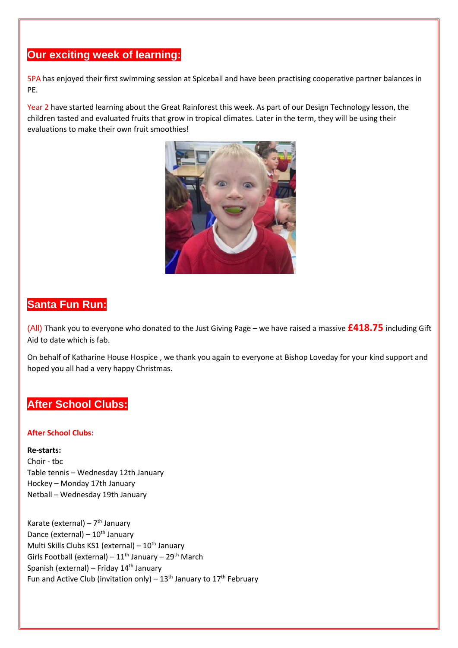## **Our exciting week of learning:**

5PA has enjoyed their first swimming session at Spiceball and have been practising cooperative partner balances in PE.

Year 2 have started learning about the Great Rainforest this week. As part of our Design Technology lesson, the children tasted and evaluated fruits that grow in tropical climates. Later in the term, they will be using their evaluations to make their own fruit smoothies!



## **Santa Fun Run:**

(All) Thank you to everyone who donated to the Just Giving Page – we have raised a massive **£418.75** including Gift Aid to date which is fab.

On behalf of Katharine House Hospice , we thank you again to everyone at Bishop Loveday for your kind support and hoped you all had a very happy Christmas.

## **After School Clubs:**

#### **After School Clubs:**

#### **Re-starts:**

Choir - tbc Table tennis – Wednesday 12th January Hockey – Monday 17th January Netball – Wednesday 19th January

Karate (external) – 7<sup>th</sup> January Dance (external)  $-10^{th}$  January Multi Skills Clubs KS1 (external) –  $10^{th}$  January Girls Football (external) –  $11^{th}$  January –  $29^{th}$  March Spanish (external) – Friday  $14<sup>th</sup>$  January Fun and Active Club (invitation only) –  $13<sup>th</sup>$  January to  $17<sup>th</sup>$  February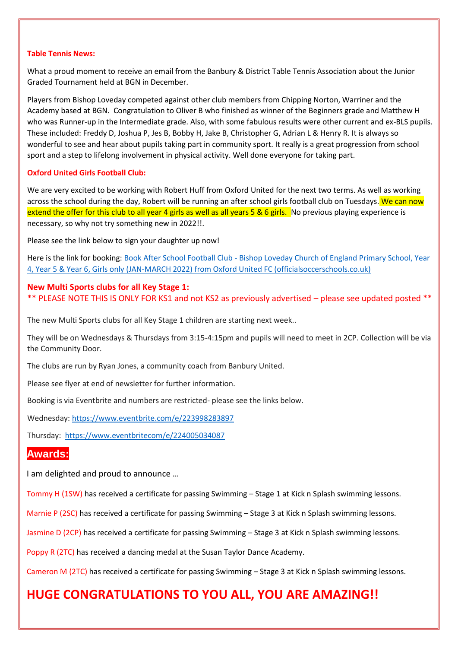#### **Table Tennis News:**

What a proud moment to receive an email from the Banbury & District Table Tennis Association about the Junior Graded Tournament held at BGN in December.

Players from Bishop Loveday competed against other club members from Chipping Norton, Warriner and the Academy based at BGN. Congratulation to Oliver B who finished as winner of the Beginners grade and Matthew H who was Runner-up in the Intermediate grade. Also, with some fabulous results were other current and ex-BLS pupils. These included: Freddy D, Joshua P, Jes B, Bobby H, Jake B, Christopher G, Adrian L & Henry R. It is always so wonderful to see and hear about pupils taking part in community sport. It really is a great progression from school sport and a step to lifelong involvement in physical activity. Well done everyone for taking part.

#### **Oxford United Girls Football Club:**

We are very excited to be working with Robert Huff from Oxford United for the next two terms. As well as working across the school during the day, Robert will be running an after school girls football club on Tuesdays. We can now extend the offer for this club to all year 4 girls as well as all years 5 & 6 girls. No previous playing experience is necessary, so why not try something new in 2022!!.

Please see the link below to sign your daughter up now!

Here is the link for booking: Book After School Football Club - [Bishop Loveday Church of England Primary School, Year](https://officialsoccerschools.co.uk/oxfordunited/after-school-football-club-bishop-loveday-church-of-england-primary-school-year-5-year-6-girls-only-jan-march.html)  [4, Year 5 & Year 6, Girls only \(JAN-MARCH 2022\) from Oxford United FC \(officialsoccerschools.co.uk\)](https://officialsoccerschools.co.uk/oxfordunited/after-school-football-club-bishop-loveday-church-of-england-primary-school-year-5-year-6-girls-only-jan-march.html)

#### **New Multi Sports clubs for all Key Stage 1:**

\*\* PLEASE NOTE THIS IS ONLY FOR KS1 and not KS2 as previously advertised – please see updated posted \*\*

The new Multi Sports clubs for all Key Stage 1 children are starting next week..

They will be on Wednesdays & Thursdays from 3:15-4:15pm and pupils will need to meet in 2CP. Collection will be via the Community Door.

The clubs are run by Ryan Jones, a community coach from Banbury United.

Please see flyer at end of newsletter for further information.

Booking is via Eventbrite and numbers are restricted- please see the links below.

Wednesday[: https://www.eventbrite.com/e/223998283897](https://www.eventbrite.com/e/223998283897)

Thursday:<https://www.eventbritecom/e/224005034087>

### **Awards:**

I am delighted and proud to announce …

Tommy H (1SW) has received a certificate for passing Swimming – Stage 1 at Kick n Splash swimming lessons.

Marnie P (2SC) has received a certificate for passing Swimming – Stage 3 at Kick n Splash swimming lessons.

Jasmine D (2CP) has received a certificate for passing Swimming – Stage 3 at Kick n Splash swimming lessons.

Poppy R (2TC) has received a dancing medal at the Susan Taylor Dance Academy.

Cameron M (2TC) has received a certificate for passing Swimming – Stage 3 at Kick n Splash swimming lessons.

# **HUGE CONGRATULATIONS TO YOU ALL, YOU ARE AMAZING!!**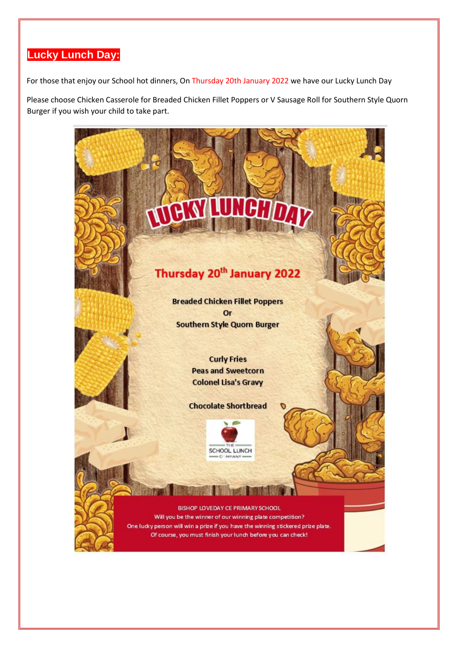# **Lucky Lunch Day:**

For those that enjoy our School hot dinners, On Thursday 20th January 2022 we have our Lucky Lunch Day

Please choose Chicken Casserole for Breaded Chicken Fillet Poppers or V Sausage Roll for Southern Style Quorn Burger if you wish your child to take part.

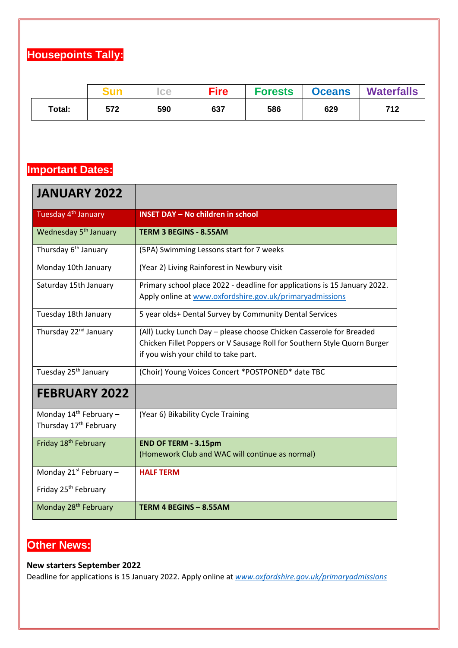# **Housepoints Tally:**

|        |     | <b>Ice</b> | <b>Fire</b> | <b>Forests</b> | <b>Oceans</b> | <b>Waterfalls</b> |
|--------|-----|------------|-------------|----------------|---------------|-------------------|
| Total: | 572 | 590        | 637         | 586            | 629           | 712               |

# **Important Dates:**

| <b>JANUARY 2022</b>                                                      |                                                                                                                                                                                         |  |
|--------------------------------------------------------------------------|-----------------------------------------------------------------------------------------------------------------------------------------------------------------------------------------|--|
| Tuesday 4 <sup>th</sup> January                                          | <b>INSET DAY - No children in school</b>                                                                                                                                                |  |
| Wednesday 5 <sup>th</sup> January                                        | <b>TERM 3 BEGINS - 8.55AM</b>                                                                                                                                                           |  |
| Thursday 6 <sup>th</sup> January                                         | (5PA) Swimming Lessons start for 7 weeks                                                                                                                                                |  |
| Monday 10th January                                                      | (Year 2) Living Rainforest in Newbury visit                                                                                                                                             |  |
| Saturday 15th January                                                    | Primary school place 2022 - deadline for applications is 15 January 2022.<br>Apply online at www.oxfordshire.gov.uk/primaryadmissions                                                   |  |
| Tuesday 18th January                                                     | 5 year olds+ Dental Survey by Community Dental Services                                                                                                                                 |  |
| Thursday 22 <sup>nd</sup> January                                        | (All) Lucky Lunch Day - please choose Chicken Casserole for Breaded<br>Chicken Fillet Poppers or V Sausage Roll for Southern Style Quorn Burger<br>if you wish your child to take part. |  |
| Tuesday 25 <sup>th</sup> January                                         | (Choir) Young Voices Concert *POSTPONED* date TBC                                                                                                                                       |  |
| <b>FEBRUARY 2022</b>                                                     |                                                                                                                                                                                         |  |
| Monday 14 <sup>th</sup> February -<br>Thursday 17 <sup>th</sup> February | (Year 6) Bikability Cycle Training                                                                                                                                                      |  |
| Friday 18 <sup>th</sup> February                                         | <b>END OF TERM - 3.15pm</b><br>(Homework Club and WAC will continue as normal)                                                                                                          |  |
| Monday $21^{st}$ February -                                              | <b>HALF TERM</b>                                                                                                                                                                        |  |
| Friday 25 <sup>th</sup> February                                         |                                                                                                                                                                                         |  |
| Monday 28 <sup>th</sup> February                                         | TERM 4 BEGINS - 8.55AM                                                                                                                                                                  |  |

# **Other News:**

#### **New starters September 2022**

Deadline for applications is 15 January 2022. Apply online at *[www.oxfordshire.gov.uk/primaryadmissions](http://www.oxfordshire.gov.uk/primaryadmissions)*